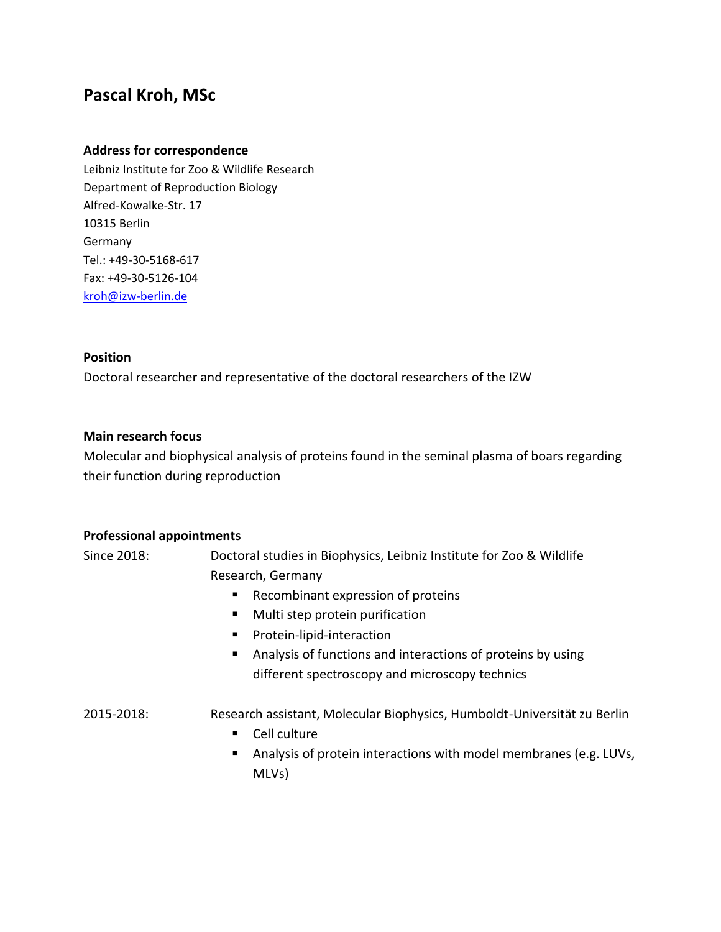# **Pascal Kroh, MSc**

### **Address for correspondence**

Leibniz Institute for Zoo & Wildlife Research Department of Reproduction Biology Alfred-Kowalke-Str. 17 10315 Berlin Germany Tel.: +49-30-5168-617 Fax: +49-30-5126-104 [kroh@izw-berlin.de](mailto:kroh@izw-berlin.de)

#### **Position**

Doctoral researcher and representative of the doctoral researchers of the IZW

#### **Main research focus**

Molecular and biophysical analysis of proteins found in the seminal plasma of boars regarding their function during reproduction

#### **Professional appointments**

Since 2018: Doctoral studies in Biophysics, Leibniz Institute for Zoo & Wildlife Research, Germany

- Recombinant expression of proteins
- **Multi step protein purification**
- **Protein-lipid-interaction**
- Analysis of functions and interactions of proteins by using different spectroscopy and microscopy technics

## 2015-2018: Research assistant, Molecular Biophysics, Humboldt-Universität zu Berlin

- **Cell culture**
- Analysis of protein interactions with model membranes (e.g. LUVs, MLVs)